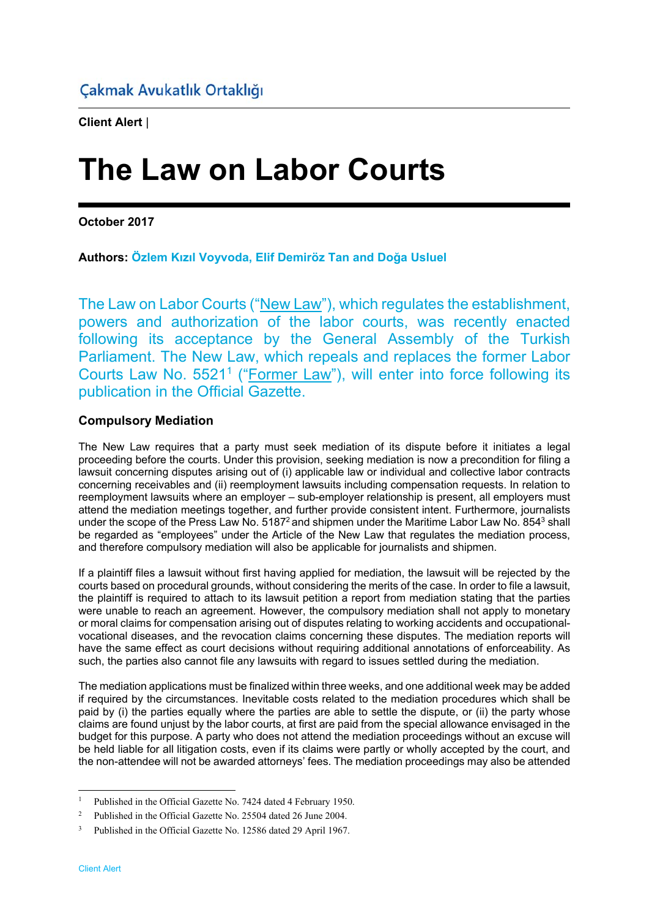**Client Alert** |

# **The Law on Labor Courts**

**October 2017** 

**Authors: Özlem Kızıl Voyvoda, Elif Demiröz Tan and Doğa Usluel**

The Law on Labor Courts ("New Law"), which regulates the establishment, powers and authorization of the labor courts, was recently enacted following its acceptance by the General Assembly of the Turkish Parliament. The New Law, which repeals and replaces the former Labor Courts Law No. 5521<sup>1</sup> ("Former Law"), will enter into force following its publication in the Official Gazette.

# **Compulsory Mediation**

The New Law requires that a party must seek mediation of its dispute before it initiates a legal proceeding before the courts. Under this provision, seeking mediation is now a precondition for filing a lawsuit concerning disputes arising out of (i) applicable law or individual and collective labor contracts concerning receivables and (ii) reemployment lawsuits including compensation requests. In relation to reemployment lawsuits where an employer – sub-employer relationship is present, all employers must attend the mediation meetings together, and further provide consistent intent. Furthermore, journalists under the scope of the Press Law No. 5187<sup>2</sup> and shipmen under the Maritime Labor Law No. 854<sup>3</sup> shall be regarded as "employees" under the Article of the New Law that regulates the mediation process, and therefore compulsory mediation will also be applicable for journalists and shipmen.

If a plaintiff files a lawsuit without first having applied for mediation, the lawsuit will be rejected by the courts based on procedural grounds, without considering the merits of the case. In order to file a lawsuit, the plaintiff is required to attach to its lawsuit petition a report from mediation stating that the parties were unable to reach an agreement. However, the compulsory mediation shall not apply to monetary or moral claims for compensation arising out of disputes relating to working accidents and occupationalvocational diseases, and the revocation claims concerning these disputes. The mediation reports will have the same effect as court decisions without requiring additional annotations of enforceability. As such, the parties also cannot file any lawsuits with regard to issues settled during the mediation.

The mediation applications must be finalized within three weeks, and one additional week may be added if required by the circumstances. Inevitable costs related to the mediation procedures which shall be paid by (i) the parties equally where the parties are able to settle the dispute, or (ii) the party whose claims are found unjust by the labor courts, at first are paid from the special allowance envisaged in the budget for this purpose. A party who does not attend the mediation proceedings without an excuse will be held liable for all litigation costs, even if its claims were partly or wholly accepted by the court, and the non-attendee will not be awarded attorneys' fees. The mediation proceedings may also be attended

-

<sup>&</sup>lt;sup>1</sup> Published in the Official Gazette No. 7424 dated 4 February 1950.

<sup>2</sup> Published in the Official Gazette No. 25504 dated 26 June 2004.

<sup>&</sup>lt;sup>3</sup> Published in the Official Gazette No. 12586 dated 29 April 1967.